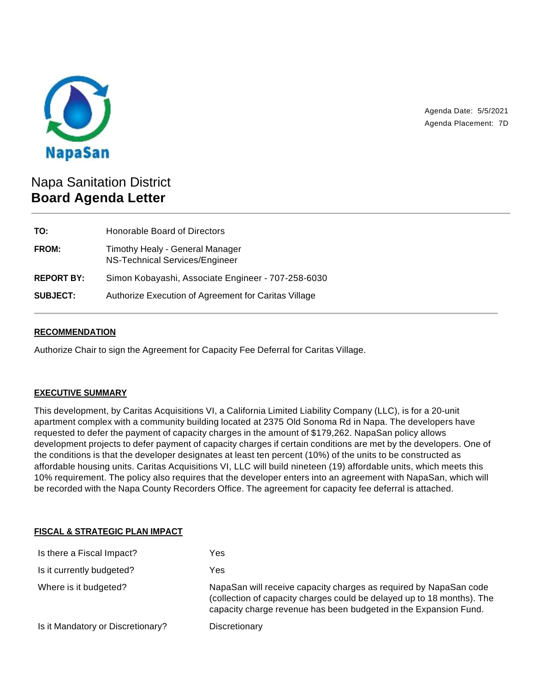

Agenda Date: 5/5/2021 Agenda Placement: 7D

# Napa Sanitation District **Board Agenda Letter**

| TO:               | Honorable Board of Directors                                      |
|-------------------|-------------------------------------------------------------------|
| FROM:             | Timothy Healy - General Manager<br>NS-Technical Services/Engineer |
| <b>REPORT BY:</b> | Simon Kobayashi, Associate Engineer - 707-258-6030                |
| <b>SUBJECT:</b>   | Authorize Execution of Agreement for Caritas Village              |

## **RECOMMENDATION**

Authorize Chair to sign the Agreement for Capacity Fee Deferral for Caritas Village.

## **EXECUTIVE SUMMARY**

This development, by Caritas Acquisitions VI, a California Limited Liability Company (LLC), is for a 20-unit apartment complex with a community building located at 2375 Old Sonoma Rd in Napa. The developers have requested to defer the payment of capacity charges in the amount of \$179,262. NapaSan policy allows development projects to defer payment of capacity charges if certain conditions are met by the developers. One of the conditions is that the developer designates at least ten percent (10%) of the units to be constructed as affordable housing units. Caritas Acquisitions VI, LLC will build nineteen (19) affordable units, which meets this 10% requirement. The policy also requires that the developer enters into an agreement with NapaSan, which will be recorded with the Napa County Recorders Office. The agreement for capacity fee deferral is attached.

#### **FISCAL & STRATEGIC PLAN IMPACT**

| Yes                                                                                                                                                                                                             |
|-----------------------------------------------------------------------------------------------------------------------------------------------------------------------------------------------------------------|
| Yes                                                                                                                                                                                                             |
| NapaSan will receive capacity charges as required by NapaSan code<br>(collection of capacity charges could be delayed up to 18 months). The<br>capacity charge revenue has been budgeted in the Expansion Fund. |
| Discretionary                                                                                                                                                                                                   |
|                                                                                                                                                                                                                 |